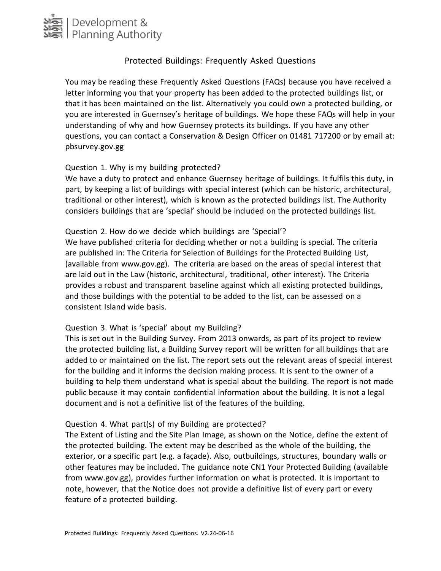

# Protected Buildings: Frequently Asked Questions

You may be reading these Frequently Asked Questions (FAQs) because you have received a letter informing you that your property has been added to the protected buildings list, or that it has been maintained on the list. Alternatively you could own a protected building, or you are interested in Guernsey's heritage of buildings. We hope these FAQs will help in your understanding of why and how Guernsey protects its buildings. If you have any other questions, you can contact a Conservation & Design Officer on 01481 717200 or by email at: pbsurvey.gov.gg

### Question 1. Why is my building protected?

We have a duty to protect and enhance Guernsey heritage of buildings. It fulfils this duty, in part, by keeping a list of buildings with special interest (which can be historic, architectural, traditional or other interest), which is known as the protected buildings list. The Authority considers buildings that are 'special' should be included on the protected buildings list.

#### Question 2. How do we decide which buildings are 'Special'?

We have published criteria for deciding whether or not a building is special. The criteria are published in: The Criteria for Selection of Buildings for the Protected Building List, (available from www.gov.gg). The criteria are based on the areas of special interest that are laid out in the Law (historic, architectural, traditional, other interest). The Criteria provides a robust and transparent baseline against which all existing protected buildings, and those buildings with the potential to be added to the list, can be assessed on a consistent Island wide basis.

## Question 3. What is 'special' about my Building?

This is set out in the Building Survey. From 2013 onwards, as part of its project to review the protected building list, a Building Survey report will be written for all buildings that are added to or maintained on the list. The report sets out the relevant areas of special interest for the building and it informs the decision making process. It is sent to the owner of a building to help them understand what is special about the building. The report is not made public because it may contain confidential information about the building. It is not a legal document and is not a definitive list of the features of the building.

#### Question 4. What part(s) of my Building are protected?

The Extent of Listing and the Site Plan Image, as shown on the Notice, define the extent of the protected building. The extent may be described as the whole of the building, the exterior, or a specific part (e.g. a façade). Also, outbuildings, structures, boundary walls or other features may be included. The guidance note CN1 Your Protected Building (available from www.gov.gg), provides further information on what is protected. It is important to note, however, that the Notice does not provide a definitive list of every part or every feature of a protected building.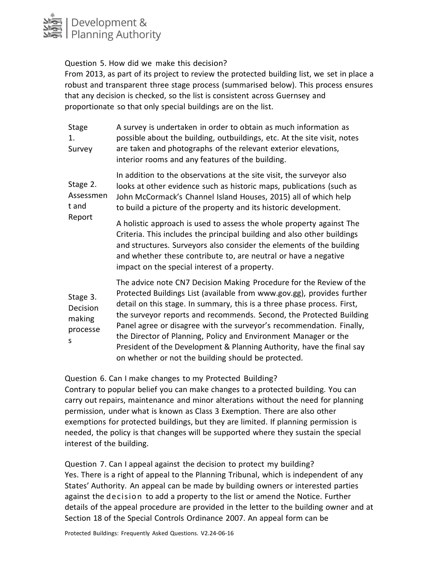

Question 5. How did we make this decision?

From 2013, as part of its project to review the protected building list, we set in place a robust and transparent three stage process (summarised below). This process ensures that any decision is checked, so the list is consistent across Guernsey and proportionate so that only special buildings are on the list.

| Stage<br>1.<br>Survey                           | A survey is undertaken in order to obtain as much information as<br>possible about the building, outbuildings, etc. At the site visit, notes<br>are taken and photographs of the relevant exterior elevations,<br>interior rooms and any features of the building.                                                                                                                                                                                                                                                                                                         |
|-------------------------------------------------|----------------------------------------------------------------------------------------------------------------------------------------------------------------------------------------------------------------------------------------------------------------------------------------------------------------------------------------------------------------------------------------------------------------------------------------------------------------------------------------------------------------------------------------------------------------------------|
| Stage 2.<br>Assessmen<br>t and<br>Report        | In addition to the observations at the site visit, the surveyor also<br>looks at other evidence such as historic maps, publications (such as<br>John McCormack's Channel Island Houses, 2015) all of which help<br>to build a picture of the property and its historic development.                                                                                                                                                                                                                                                                                        |
|                                                 | A holistic approach is used to assess the whole property against The<br>Criteria. This includes the principal building and also other buildings<br>and structures. Surveyors also consider the elements of the building<br>and whether these contribute to, are neutral or have a negative<br>impact on the special interest of a property.                                                                                                                                                                                                                                |
| Stage 3.<br>Decision<br>making<br>processe<br>S | The advice note CN7 Decision Making Procedure for the Review of the<br>Protected Buildings List (available from www.gov.gg), provides further<br>detail on this stage. In summary, this is a three phase process. First,<br>the surveyor reports and recommends. Second, the Protected Building<br>Panel agree or disagree with the surveyor's recommendation. Finally,<br>the Director of Planning, Policy and Environment Manager or the<br>President of the Development & Planning Authority, have the final say<br>on whether or not the building should be protected. |

Question 6. Can I make changes to my Protected Building?

Contrary to popular belief you can make changes to a protected building. You can carry out repairs, maintenance and minor alterations without the need for planning permission, under what is known as Class 3 Exemption. There are also other exemptions for protected buildings, but they are limited. If planning permission is needed, the policy is that changes will be supported where they sustain the special interest of the building.

Question 7. Can I appeal against the decision to protect my building? Yes. There is a right of appeal to the Planning Tribunal, which is independent of any States' Authority. An appeal can be made by building owners or interested parties against the d ecision to add a property to the list or amend the Notice. Further details of the appeal procedure are provided in the letter to the building owner and at Section 18 of the Special Controls Ordinance 2007. An appeal form can be